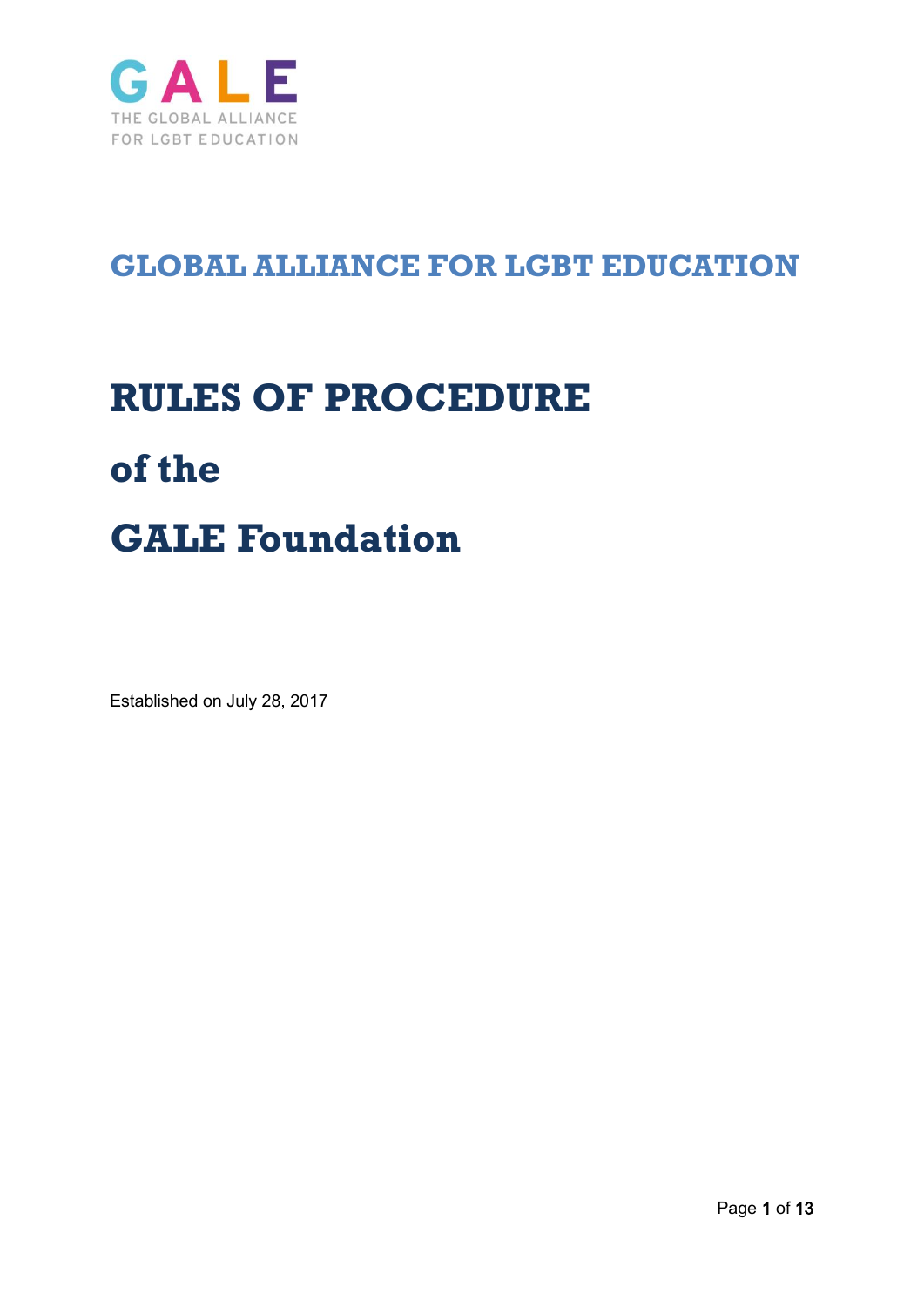

# **GLOBAL ALLIANCE FOR LGBT EDUCATION**

# **RULES OF PROCEDURE of the GALE Foundation**

Established on July 28, 2017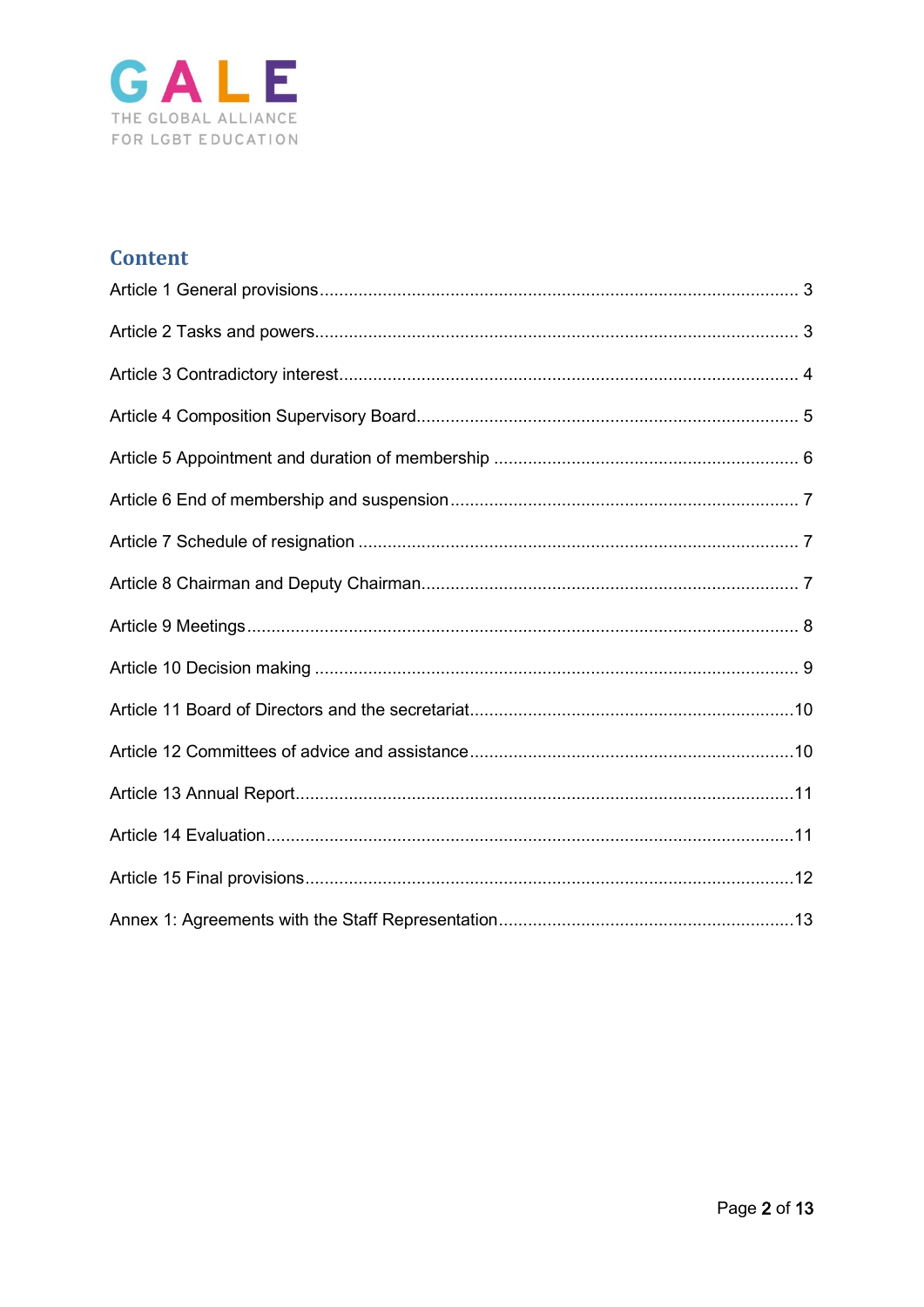

# **Content**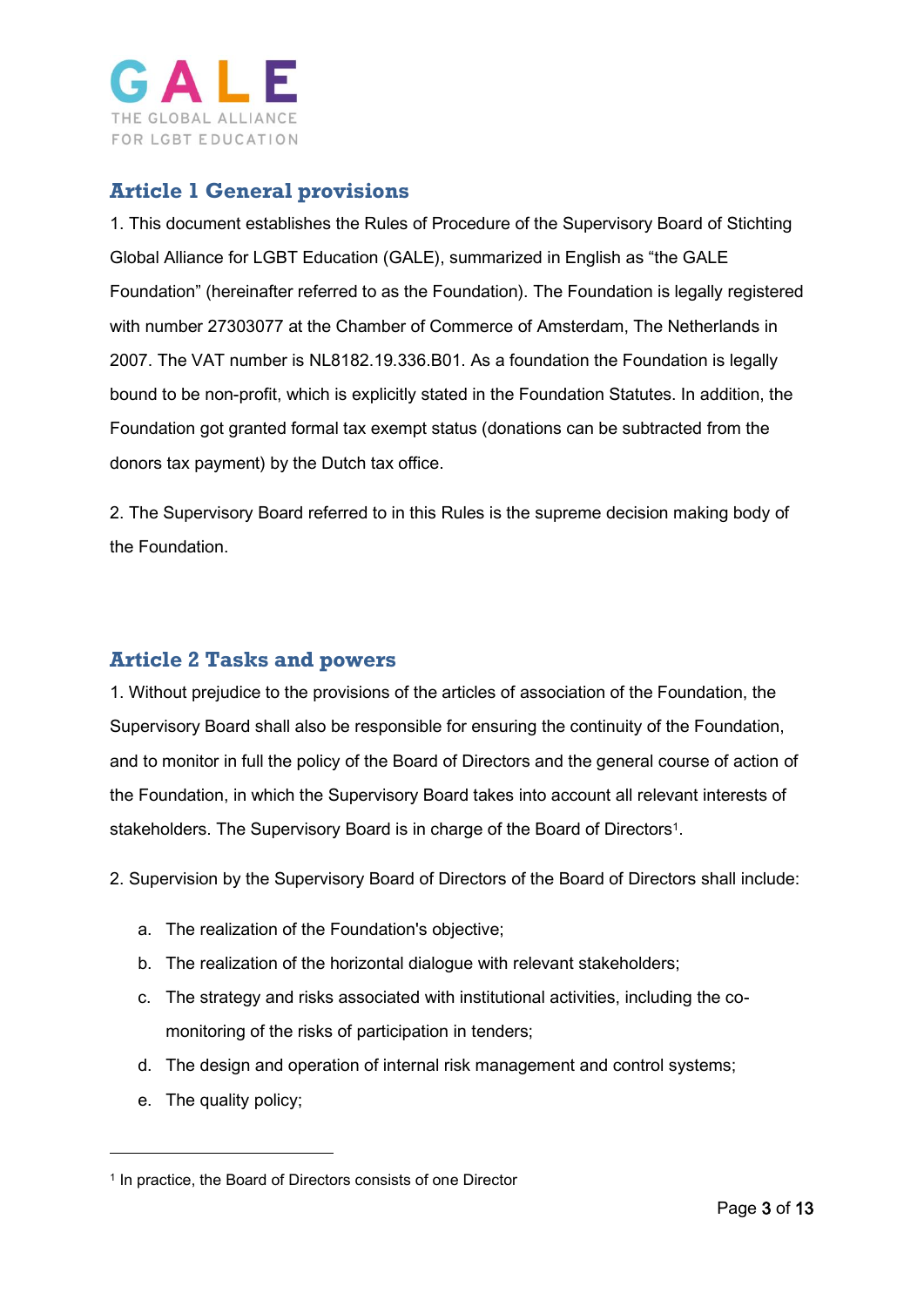

# <span id="page-2-0"></span>**Article 1 General provisions**

1. This document establishes the Rules of Procedure of the Supervisory Board of Stichting Global Alliance for LGBT Education (GALE), summarized in English as "the GALE Foundation" (hereinafter referred to as the Foundation). The Foundation is legally registered with number 27303077 at the Chamber of Commerce of Amsterdam, The Netherlands in 2007. The VAT number is NL8182.19.336.B01. As a foundation the Foundation is legally bound to be non-profit, which is explicitly stated in the Foundation Statutes. In addition, the Foundation got granted formal tax exempt status (donations can be subtracted from the donors tax payment) by the Dutch tax office.

2. The Supervisory Board referred to in this Rules is the supreme decision making body of the Foundation.

# <span id="page-2-1"></span>**Article 2 Tasks and powers**

1. Without prejudice to the provisions of the articles of association of the Foundation, the Supervisory Board shall also be responsible for ensuring the continuity of the Foundation, and to monitor in full the policy of the Board of Directors and the general course of action of the Foundation, in which the Supervisory Board takes into account all relevant interests of stakeholders. The Supervisory Board is in charge of the Board of Directors<sup>1</sup>.

2. Supervision by the Supervisory Board of Directors of the Board of Directors shall include:

- a. The realization of the Foundation's objective;
- b. The realization of the horizontal dialogue with relevant stakeholders;
- c. The strategy and risks associated with institutional activities, including the comonitoring of the risks of participation in tenders;
- d. The design and operation of internal risk management and control systems;
- e. The quality policy;

-

<sup>&</sup>lt;sup>1</sup> In practice, the Board of Directors consists of one Director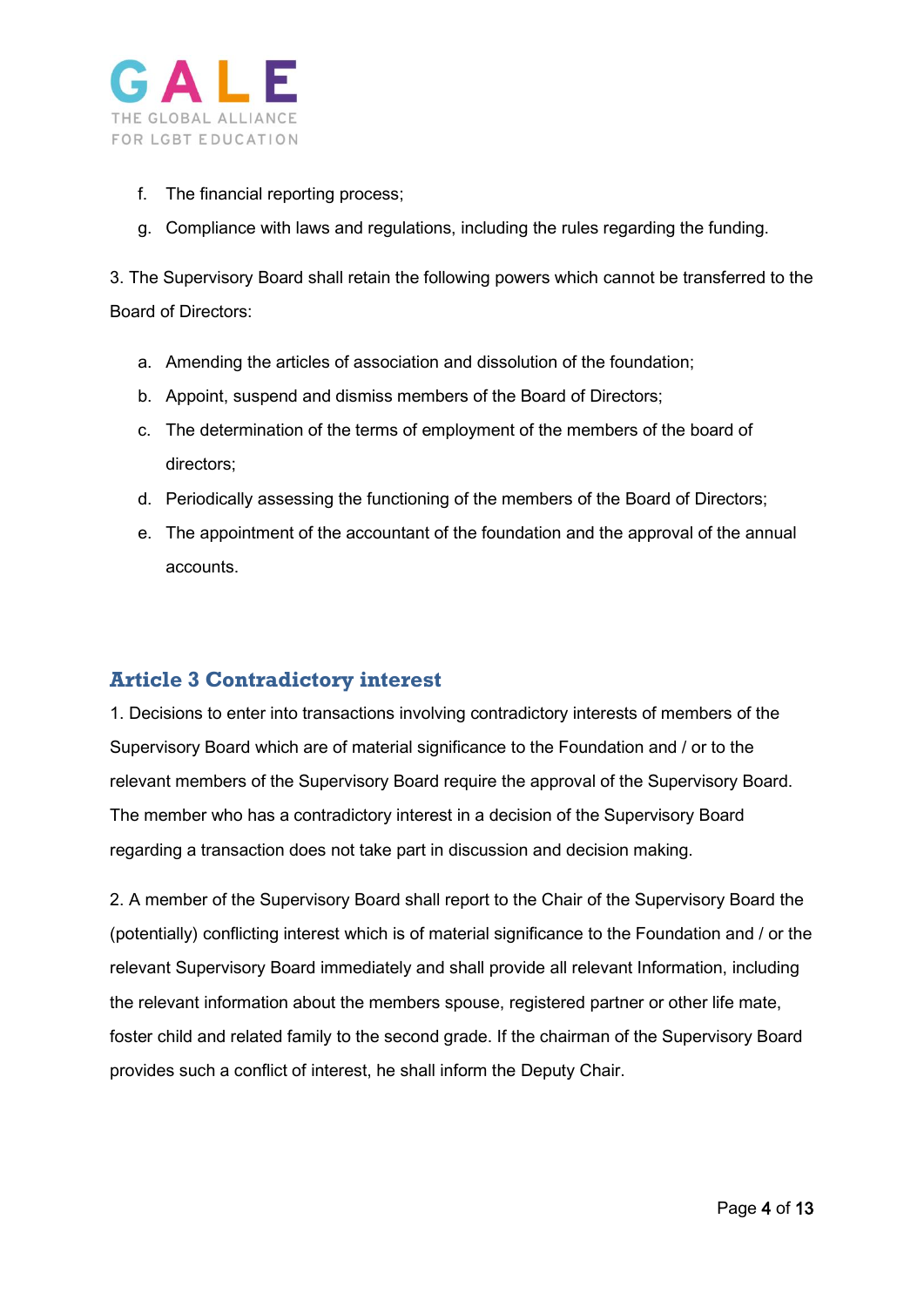

- f. The financial reporting process;
- g. Compliance with laws and regulations, including the rules regarding the funding.

3. The Supervisory Board shall retain the following powers which cannot be transferred to the Board of Directors:

- a. Amending the articles of association and dissolution of the foundation;
- b. Appoint, suspend and dismiss members of the Board of Directors;
- c. The determination of the terms of employment of the members of the board of directors;
- d. Periodically assessing the functioning of the members of the Board of Directors;
- e. The appointment of the accountant of the foundation and the approval of the annual accounts.

#### <span id="page-3-0"></span>**Article 3 Contradictory interest**

1. Decisions to enter into transactions involving contradictory interests of members of the Supervisory Board which are of material significance to the Foundation and / or to the relevant members of the Supervisory Board require the approval of the Supervisory Board. The member who has a contradictory interest in a decision of the Supervisory Board regarding a transaction does not take part in discussion and decision making.

2. A member of the Supervisory Board shall report to the Chair of the Supervisory Board the (potentially) conflicting interest which is of material significance to the Foundation and / or the relevant Supervisory Board immediately and shall provide all relevant Information, including the relevant information about the members spouse, registered partner or other life mate, foster child and related family to the second grade. If the chairman of the Supervisory Board provides such a conflict of interest, he shall inform the Deputy Chair.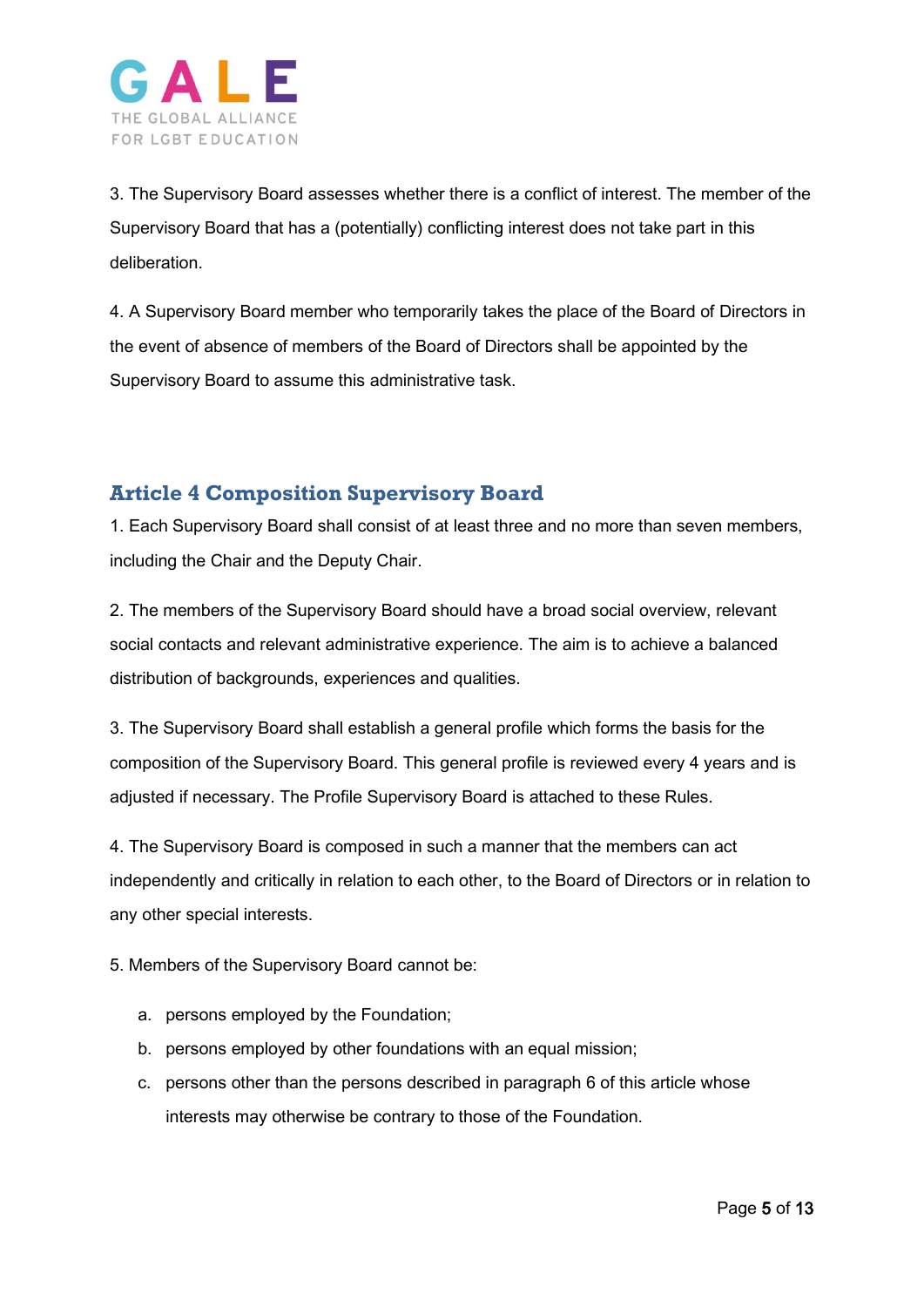

3. The Supervisory Board assesses whether there is a conflict of interest. The member of the Supervisory Board that has a (potentially) conflicting interest does not take part in this deliberation.

4. A Supervisory Board member who temporarily takes the place of the Board of Directors in the event of absence of members of the Board of Directors shall be appointed by the Supervisory Board to assume this administrative task.

# <span id="page-4-0"></span>**Article 4 Composition Supervisory Board**

1. Each Supervisory Board shall consist of at least three and no more than seven members, including the Chair and the Deputy Chair.

2. The members of the Supervisory Board should have a broad social overview, relevant social contacts and relevant administrative experience. The aim is to achieve a balanced distribution of backgrounds, experiences and qualities.

3. The Supervisory Board shall establish a general profile which forms the basis for the composition of the Supervisory Board. This general profile is reviewed every 4 years and is adjusted if necessary. The Profile Supervisory Board is attached to these Rules.

4. The Supervisory Board is composed in such a manner that the members can act independently and critically in relation to each other, to the Board of Directors or in relation to any other special interests.

5. Members of the Supervisory Board cannot be:

- a. persons employed by the Foundation;
- b. persons employed by other foundations with an equal mission;
- c. persons other than the persons described in paragraph 6 of this article whose interests may otherwise be contrary to those of the Foundation.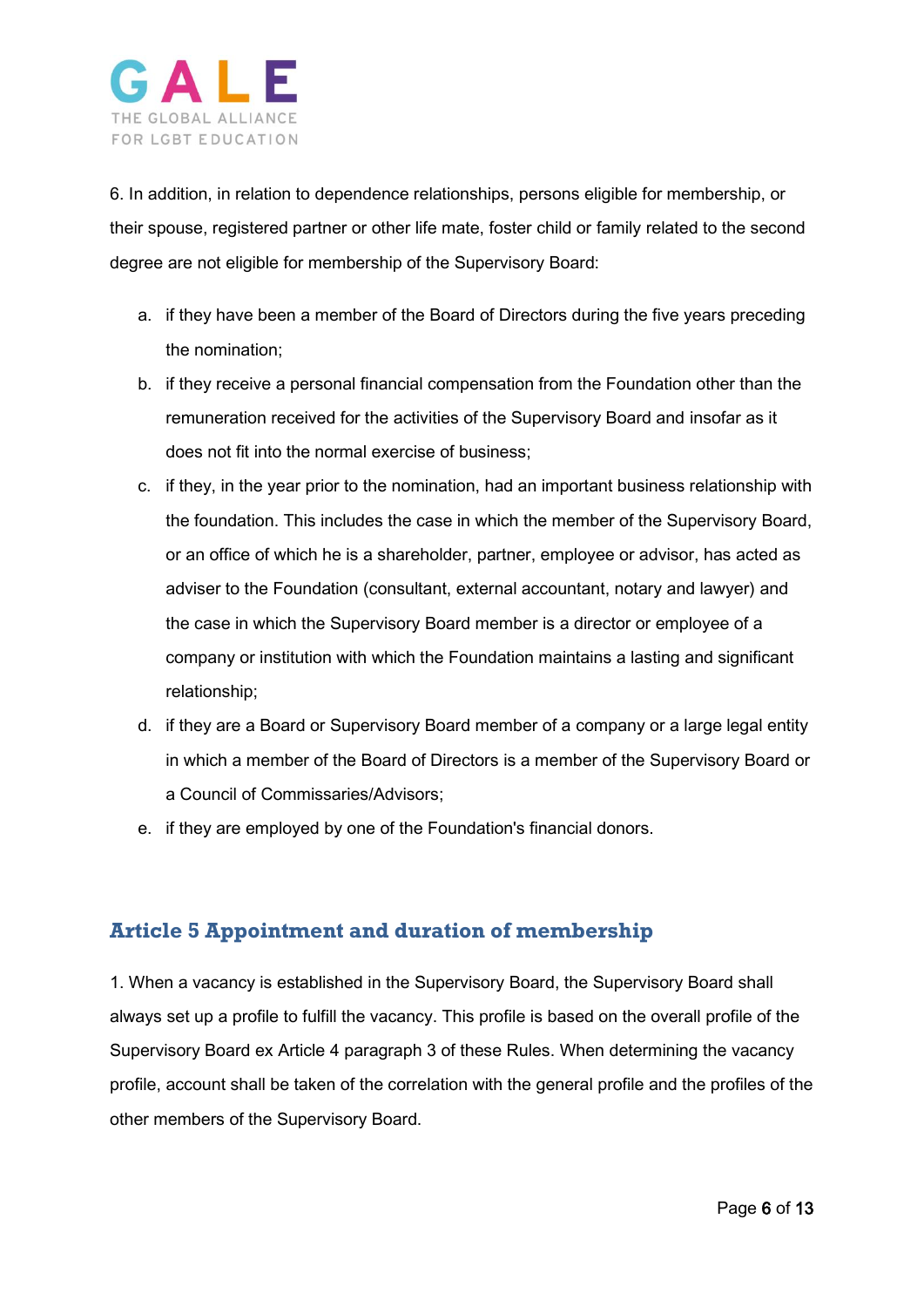

6. In addition, in relation to dependence relationships, persons eligible for membership, or their spouse, registered partner or other life mate, foster child or family related to the second degree are not eligible for membership of the Supervisory Board:

- a. if they have been a member of the Board of Directors during the five years preceding the nomination;
- b. if they receive a personal financial compensation from the Foundation other than the remuneration received for the activities of the Supervisory Board and insofar as it does not fit into the normal exercise of business;
- c. if they, in the year prior to the nomination, had an important business relationship with the foundation. This includes the case in which the member of the Supervisory Board, or an office of which he is a shareholder, partner, employee or advisor, has acted as adviser to the Foundation (consultant, external accountant, notary and lawyer) and the case in which the Supervisory Board member is a director or employee of a company or institution with which the Foundation maintains a lasting and significant relationship;
- d. if they are a Board or Supervisory Board member of a company or a large legal entity in which a member of the Board of Directors is a member of the Supervisory Board or a Council of Commissaries/Advisors;
- e. if they are employed by one of the Foundation's financial donors.

#### <span id="page-5-0"></span>**Article 5 Appointment and duration of membership**

1. When a vacancy is established in the Supervisory Board, the Supervisory Board shall always set up a profile to fulfill the vacancy. This profile is based on the overall profile of the Supervisory Board ex Article 4 paragraph 3 of these Rules. When determining the vacancy profile, account shall be taken of the correlation with the general profile and the profiles of the other members of the Supervisory Board.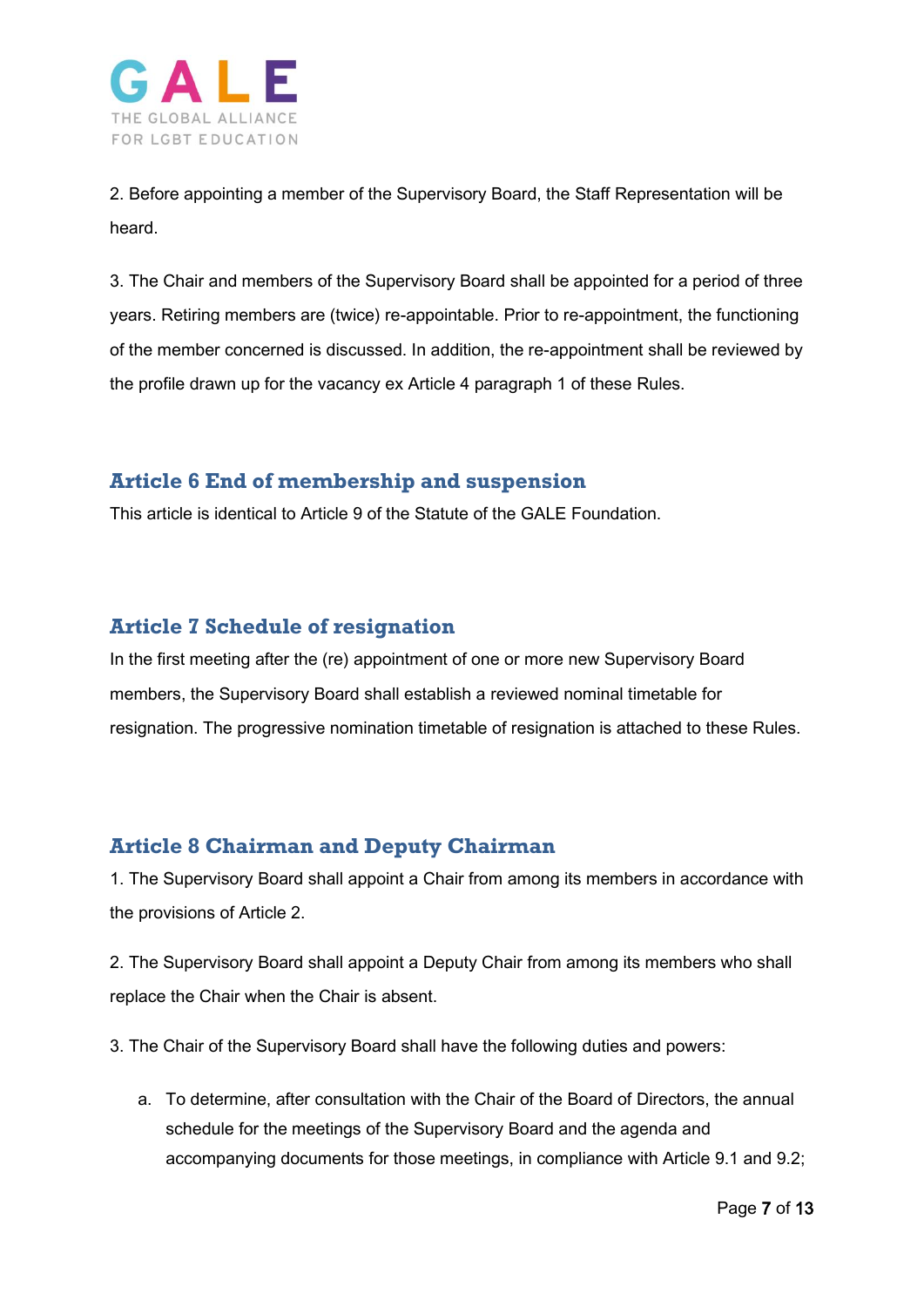

2. Before appointing a member of the Supervisory Board, the Staff Representation will be heard.

3. The Chair and members of the Supervisory Board shall be appointed for a period of three years. Retiring members are (twice) re-appointable. Prior to re-appointment, the functioning of the member concerned is discussed. In addition, the re-appointment shall be reviewed by the profile drawn up for the vacancy ex Article 4 paragraph 1 of these Rules.

# <span id="page-6-0"></span>**Article 6 End of membership and suspension**

This article is identical to Article 9 of the Statute of the GALE Foundation.

#### <span id="page-6-1"></span>**Article 7 Schedule of resignation**

In the first meeting after the (re) appointment of one or more new Supervisory Board members, the Supervisory Board shall establish a reviewed nominal timetable for resignation. The progressive nomination timetable of resignation is attached to these Rules.

# <span id="page-6-2"></span>**Article 8 Chairman and Deputy Chairman**

1. The Supervisory Board shall appoint a Chair from among its members in accordance with the provisions of Article 2.

2. The Supervisory Board shall appoint a Deputy Chair from among its members who shall replace the Chair when the Chair is absent.

3. The Chair of the Supervisory Board shall have the following duties and powers:

a. To determine, after consultation with the Chair of the Board of Directors, the annual schedule for the meetings of the Supervisory Board and the agenda and accompanying documents for those meetings, in compliance with Article 9.1 and 9.2;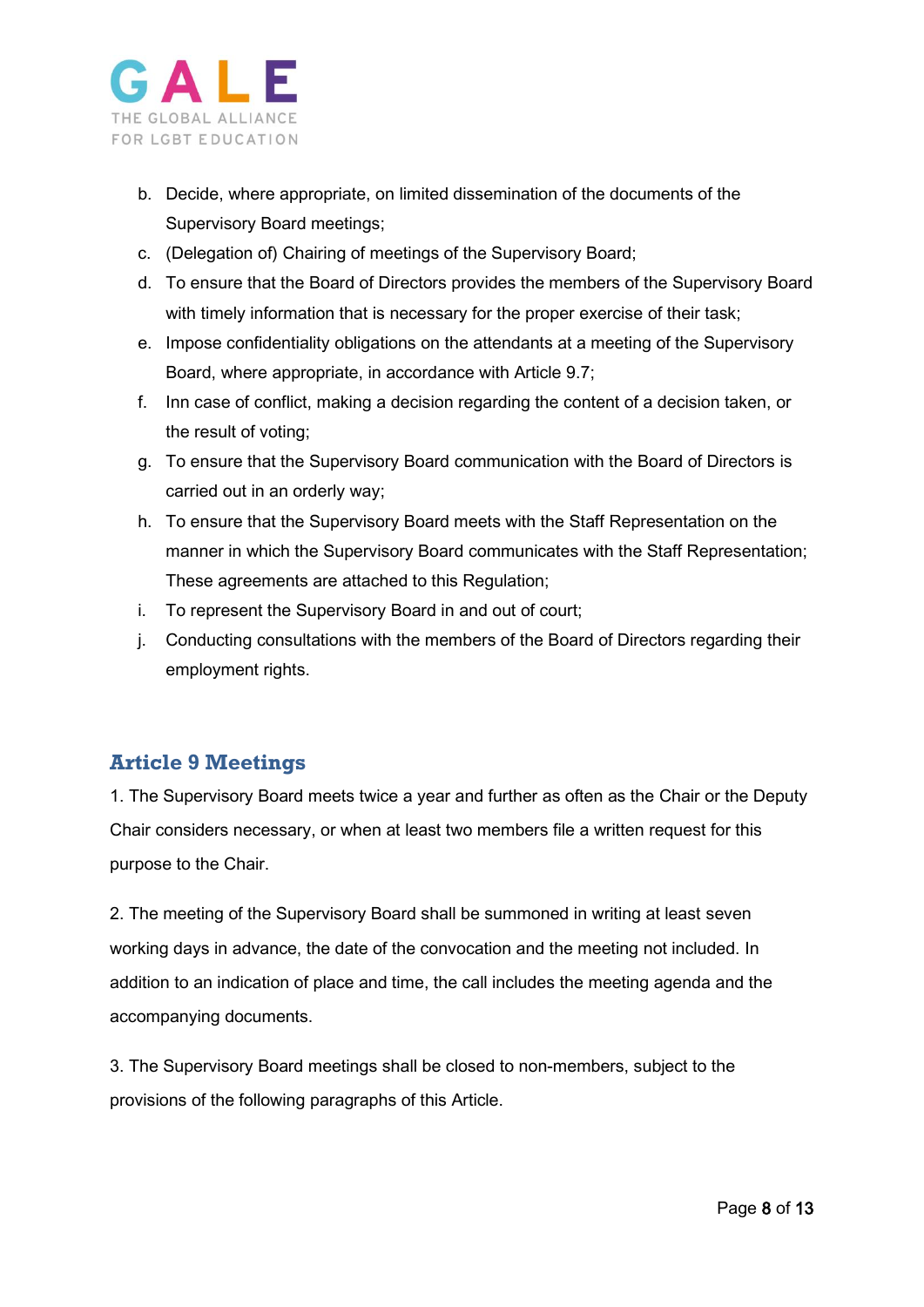

- b. Decide, where appropriate, on limited dissemination of the documents of the Supervisory Board meetings;
- c. (Delegation of) Chairing of meetings of the Supervisory Board;
- d. To ensure that the Board of Directors provides the members of the Supervisory Board with timely information that is necessary for the proper exercise of their task;
- e. Impose confidentiality obligations on the attendants at a meeting of the Supervisory Board, where appropriate, in accordance with Article 9.7;
- f. Inn case of conflict, making a decision regarding the content of a decision taken, or the result of voting;
- g. To ensure that the Supervisory Board communication with the Board of Directors is carried out in an orderly way;
- h. To ensure that the Supervisory Board meets with the Staff Representation on the manner in which the Supervisory Board communicates with the Staff Representation; These agreements are attached to this Regulation;
- i. To represent the Supervisory Board in and out of court;
- j. Conducting consultations with the members of the Board of Directors regarding their employment rights.

#### <span id="page-7-0"></span>**Article 9 Meetings**

1. The Supervisory Board meets twice a year and further as often as the Chair or the Deputy Chair considers necessary, or when at least two members file a written request for this purpose to the Chair.

2. The meeting of the Supervisory Board shall be summoned in writing at least seven working days in advance, the date of the convocation and the meeting not included. In addition to an indication of place and time, the call includes the meeting agenda and the accompanying documents.

3. The Supervisory Board meetings shall be closed to non-members, subject to the provisions of the following paragraphs of this Article.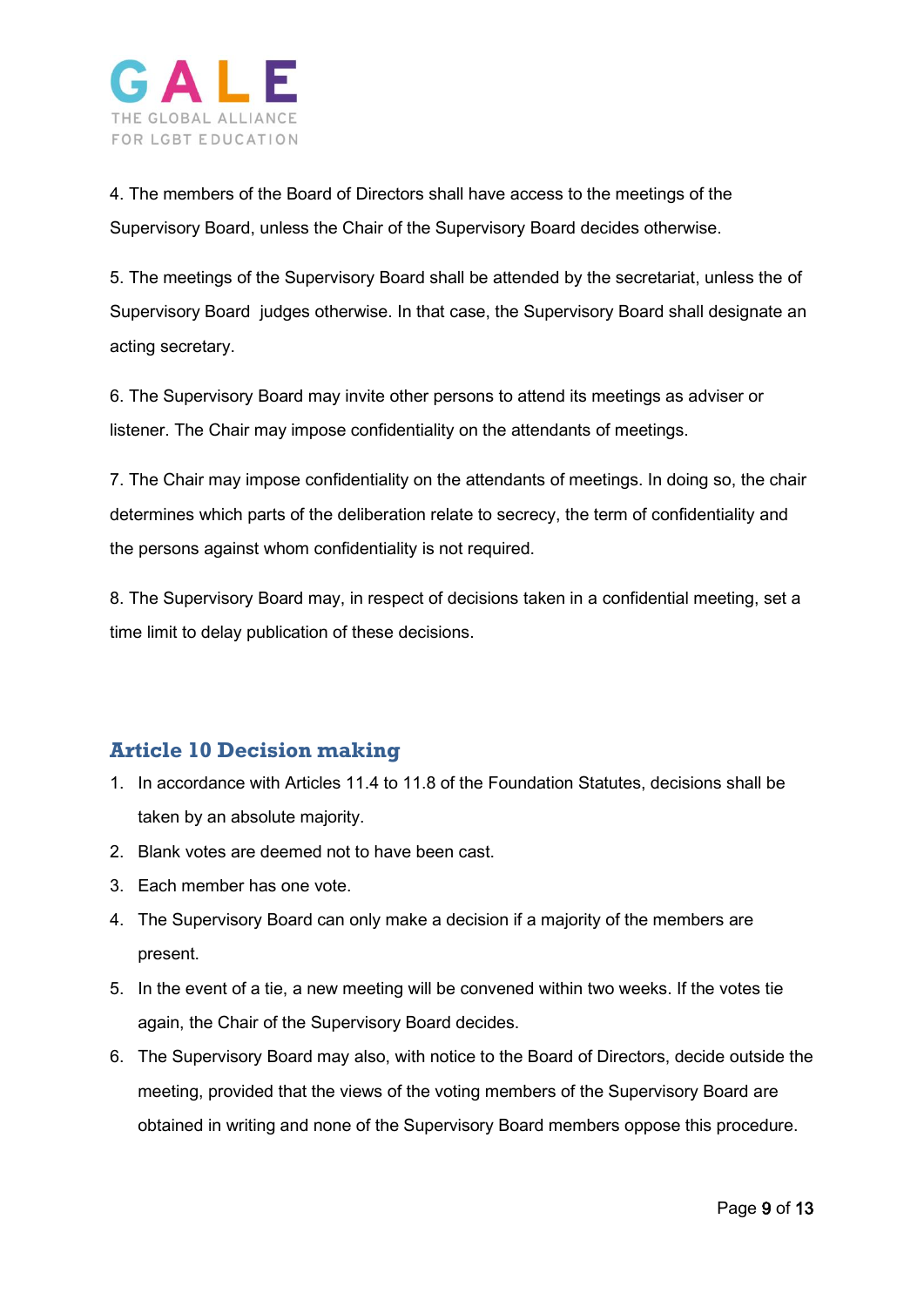

4. The members of the Board of Directors shall have access to the meetings of the Supervisory Board, unless the Chair of the Supervisory Board decides otherwise.

5. The meetings of the Supervisory Board shall be attended by the secretariat, unless the of Supervisory Board judges otherwise. In that case, the Supervisory Board shall designate an acting secretary.

6. The Supervisory Board may invite other persons to attend its meetings as adviser or listener. The Chair may impose confidentiality on the attendants of meetings.

7. The Chair may impose confidentiality on the attendants of meetings. In doing so, the chair determines which parts of the deliberation relate to secrecy, the term of confidentiality and the persons against whom confidentiality is not required.

8. The Supervisory Board may, in respect of decisions taken in a confidential meeting, set a time limit to delay publication of these decisions.

#### <span id="page-8-0"></span>**Article 10 Decision making**

- 1. In accordance with Articles 11.4 to 11.8 of the Foundation Statutes, decisions shall be taken by an absolute majority.
- 2. Blank votes are deemed not to have been cast.
- 3. Each member has one vote.
- 4. The Supervisory Board can only make a decision if a majority of the members are present.
- 5. In the event of a tie, a new meeting will be convened within two weeks. If the votes tie again, the Chair of the Supervisory Board decides.
- 6. The Supervisory Board may also, with notice to the Board of Directors, decide outside the meeting, provided that the views of the voting members of the Supervisory Board are obtained in writing and none of the Supervisory Board members oppose this procedure.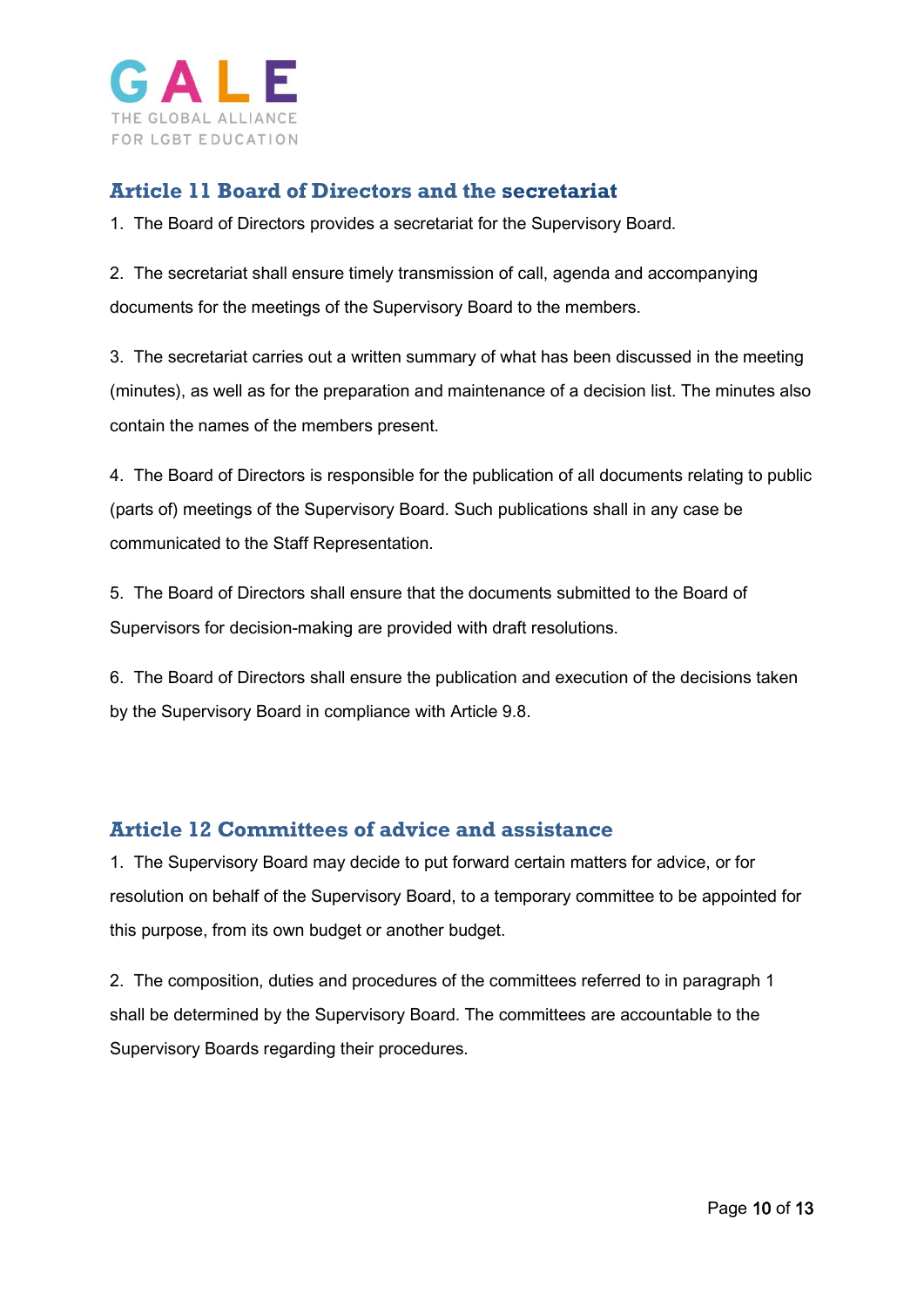

#### <span id="page-9-0"></span>**Article 11 Board of Directors and the secretariat**

1. The Board of Directors provides a secretariat for the Supervisory Board.

2. The secretariat shall ensure timely transmission of call, agenda and accompanying documents for the meetings of the Supervisory Board to the members.

3. The secretariat carries out a written summary of what has been discussed in the meeting (minutes), as well as for the preparation and maintenance of a decision list. The minutes also contain the names of the members present.

4. The Board of Directors is responsible for the publication of all documents relating to public (parts of) meetings of the Supervisory Board. Such publications shall in any case be communicated to the Staff Representation.

5. The Board of Directors shall ensure that the documents submitted to the Board of Supervisors for decision-making are provided with draft resolutions.

6. The Board of Directors shall ensure the publication and execution of the decisions taken by the Supervisory Board in compliance with Article 9.8.

#### <span id="page-9-1"></span>**Article 12 Committees of advice and assistance**

1. The Supervisory Board may decide to put forward certain matters for advice, or for resolution on behalf of the Supervisory Board, to a temporary committee to be appointed for this purpose, from its own budget or another budget.

2. The composition, duties and procedures of the committees referred to in paragraph 1 shall be determined by the Supervisory Board. The committees are accountable to the Supervisory Boards regarding their procedures.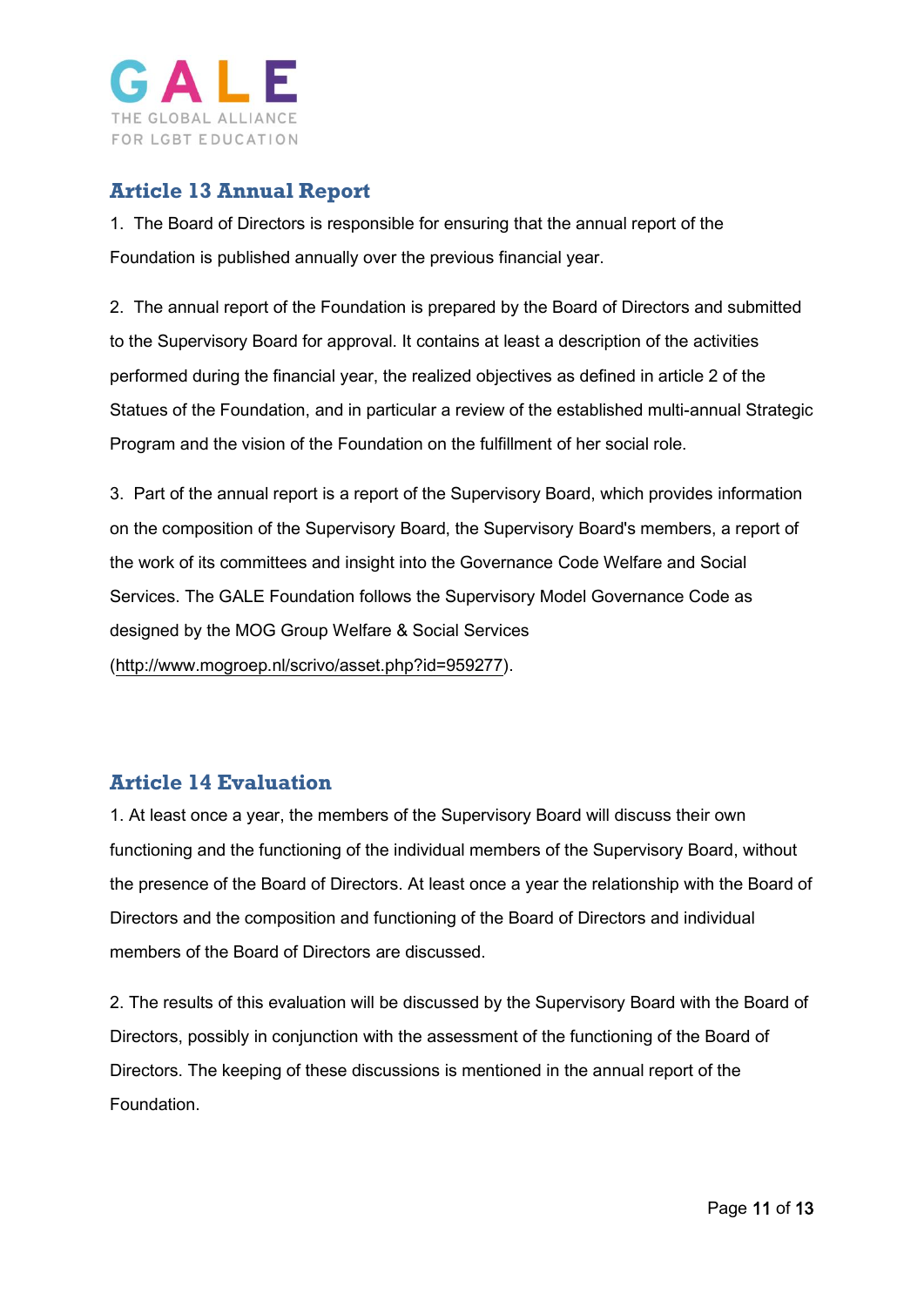

### <span id="page-10-0"></span>**Article 13 Annual Report**

1. The Board of Directors is responsible for ensuring that the annual report of the Foundation is published annually over the previous financial year.

2. The annual report of the Foundation is prepared by the Board of Directors and submitted to the Supervisory Board for approval. It contains at least a description of the activities performed during the financial year, the realized objectives as defined in article 2 of the Statues of the Foundation, and in particular a review of the established multi-annual Strategic Program and the vision of the Foundation on the fulfillment of her social role.

3. Part of the annual report is a report of the Supervisory Board, which provides information on the composition of the Supervisory Board, the Supervisory Board's members, a report of the work of its committees and insight into the Governance Code Welfare and Social Services. The GALE Foundation follows the Supervisory Model Governance Code as designed by the MOG Group Welfare & Social Services [\(http://www.mogroep.nl/scrivo/asset.php?id=959277\)](http://www.mogroep.nl/scrivo/asset.php?id=959277).

# <span id="page-10-1"></span>**Article 14 Evaluation**

1. At least once a year, the members of the Supervisory Board will discuss their own functioning and the functioning of the individual members of the Supervisory Board, without the presence of the Board of Directors. At least once a year the relationship with the Board of Directors and the composition and functioning of the Board of Directors and individual members of the Board of Directors are discussed.

2. The results of this evaluation will be discussed by the Supervisory Board with the Board of Directors, possibly in conjunction with the assessment of the functioning of the Board of Directors. The keeping of these discussions is mentioned in the annual report of the Foundation.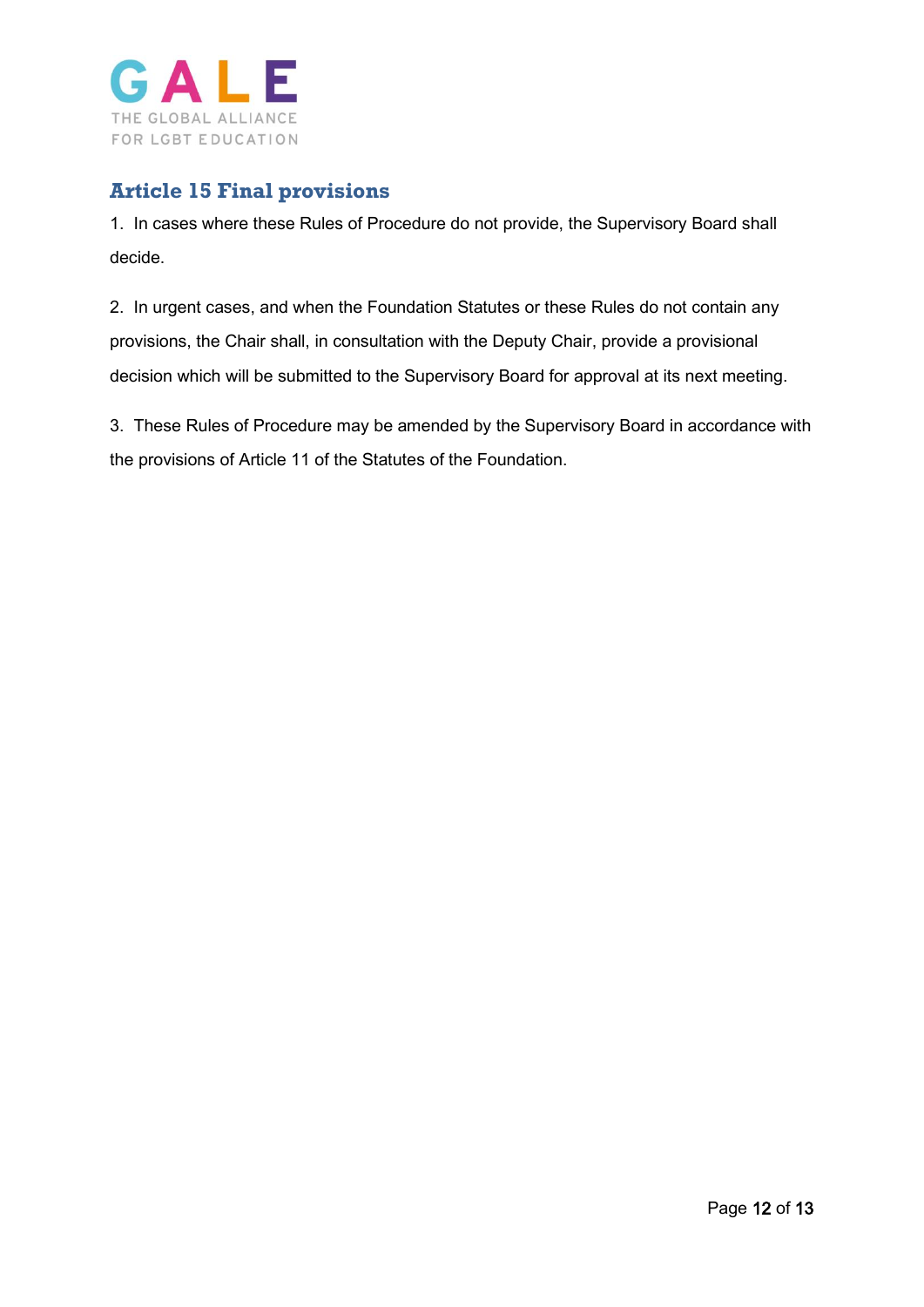

# <span id="page-11-0"></span>**Article 15 Final provisions**

1. In cases where these Rules of Procedure do not provide, the Supervisory Board shall decide.

2. In urgent cases, and when the Foundation Statutes or these Rules do not contain any provisions, the Chair shall, in consultation with the Deputy Chair, provide a provisional decision which will be submitted to the Supervisory Board for approval at its next meeting.

3. These Rules of Procedure may be amended by the Supervisory Board in accordance with the provisions of Article 11 of the Statutes of the Foundation.